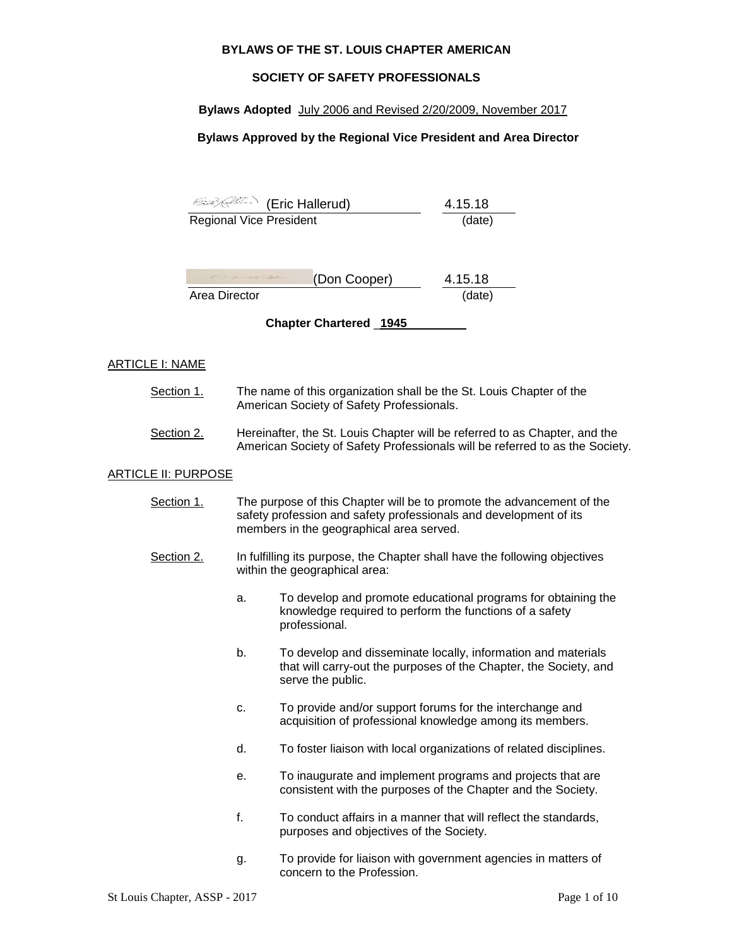#### **BYLAWS OF THE ST. LOUIS CHAPTER AMERICAN**

### **SOCIETY OF SAFETY PROFESSIONALS**

#### **Bylaws Adopted** July 2006 and Revised 2/20/2009, November 2017

### **Bylaws Approved by the Regional Vice President and Area Director**

| (Eric Hallerud) (E             | 4.15.18 |
|--------------------------------|---------|
| <b>Regional Vice President</b> | (date)  |

| to a sent and | (Don Cooper) | 4.15.18 |
|---------------|--------------|---------|
| Area Director |              | (date)  |

**Chapter Chartered** \_**1945**

#### ARTICLE I: NAME

- Section 1. The name of this organization shall be the St. Louis Chapter of the American Society of Safety Professionals.
- Section 2. Hereinafter, the St. Louis Chapter will be referred to as Chapter, and the American Society of Safety Professionals will be referred to as the Society.

#### ARTICLE II: PURPOSE

- Section 1. The purpose of this Chapter will be to promote the advancement of the safety profession and safety professionals and development of its members in the geographical area served.
- Section 2. In fulfilling its purpose, the Chapter shall have the following objectives within the geographical area:
	- a. To develop and promote educational programs for obtaining the knowledge required to perform the functions of a safety professional.
	- b. To develop and disseminate locally, information and materials that will carry-out the purposes of the Chapter, the Society, and serve the public.
	- c. To provide and/or support forums for the interchange and acquisition of professional knowledge among its members.
	- d. To foster liaison with local organizations of related disciplines.
	- e. To inaugurate and implement programs and projects that are consistent with the purposes of the Chapter and the Society.
	- f. To conduct affairs in a manner that will reflect the standards, purposes and objectives of the Society.
	- g. To provide for liaison with government agencies in matters of concern to the Profession.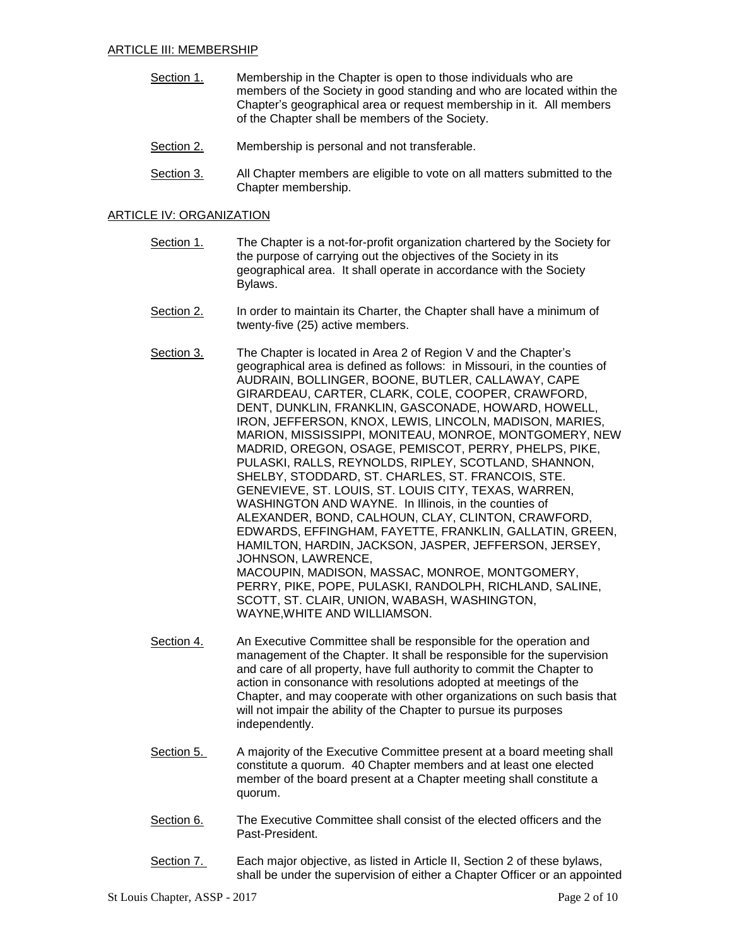- Section 1. Membership in the Chapter is open to those individuals who are members of the Society in good standing and who are located within the Chapter's geographical area or request membership in it. All members of the Chapter shall be members of the Society.
- Section 2. Membership is personal and not transferable.
- Section 3. All Chapter members are eligible to vote on all matters submitted to the Chapter membership.

# ARTICLE IV: ORGANIZATION

- Section 1. The Chapter is a not-for-profit organization chartered by the Society for the purpose of carrying out the objectives of the Society in its geographical area. It shall operate in accordance with the Society Bylaws.
- Section 2. In order to maintain its Charter, the Chapter shall have a minimum of twenty-five (25) active members.
- Section 3. The Chapter is located in Area 2 of Region V and the Chapter's geographical area is defined as follows: in Missouri, in the counties of AUDRAIN, BOLLINGER, BOONE, BUTLER, CALLAWAY, CAPE GIRARDEAU, CARTER, CLARK, COLE, COOPER, CRAWFORD, DENT, DUNKLIN, FRANKLIN, GASCONADE, HOWARD, HOWELL, IRON, JEFFERSON, KNOX, LEWIS, LINCOLN, MADISON, MARIES, MARION, MISSISSIPPI, MONITEAU, MONROE, MONTGOMERY, NEW MADRID, OREGON, OSAGE, PEMISCOT, PERRY, PHELPS, PIKE, PULASKI, RALLS, REYNOLDS, RIPLEY, SCOTLAND, SHANNON, SHELBY, STODDARD, ST. CHARLES, ST. FRANCOIS, STE. GENEVIEVE, ST. LOUIS, ST. LOUIS CITY, TEXAS, WARREN, WASHINGTON AND WAYNE. In Illinois, in the counties of ALEXANDER, BOND, CALHOUN, CLAY, CLINTON, CRAWFORD, EDWARDS, EFFINGHAM, FAYETTE, FRANKLIN, GALLATIN, GREEN, HAMILTON, HARDIN, JACKSON, JASPER, JEFFERSON, JERSEY, JOHNSON, LAWRENCE, MACOUPIN, MADISON, MASSAC, MONROE, MONTGOMERY, PERRY, PIKE, POPE, PULASKI, RANDOLPH, RICHLAND, SALINE, SCOTT, ST. CLAIR, UNION, WABASH, WASHINGTON, WAYNE,WHITE AND WILLIAMSON.
- Section 4. An Executive Committee shall be responsible for the operation and management of the Chapter. It shall be responsible for the supervision and care of all property, have full authority to commit the Chapter to action in consonance with resolutions adopted at meetings of the Chapter, and may cooperate with other organizations on such basis that will not impair the ability of the Chapter to pursue its purposes independently.
- Section 5. A majority of the Executive Committee present at a board meeting shall constitute a quorum. 40 Chapter members and at least one elected member of the board present at a Chapter meeting shall constitute a quorum.
- Section 6. The Executive Committee shall consist of the elected officers and the Past-President.
- Section 7. Each major objective, as listed in Article II, Section 2 of these bylaws, shall be under the supervision of either a Chapter Officer or an appointed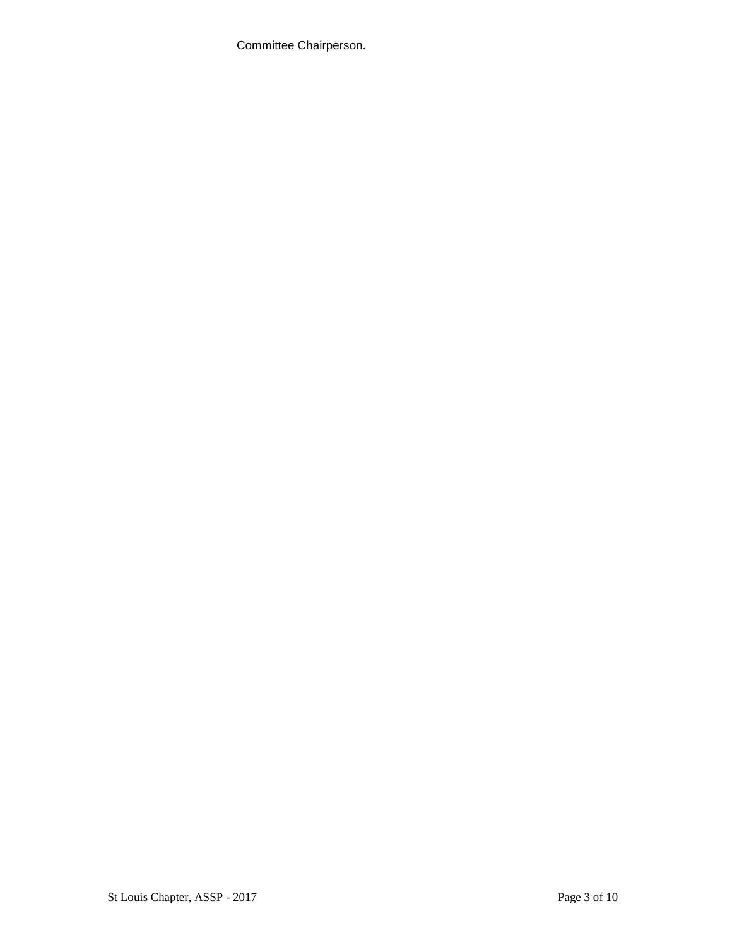Committee Chairperson.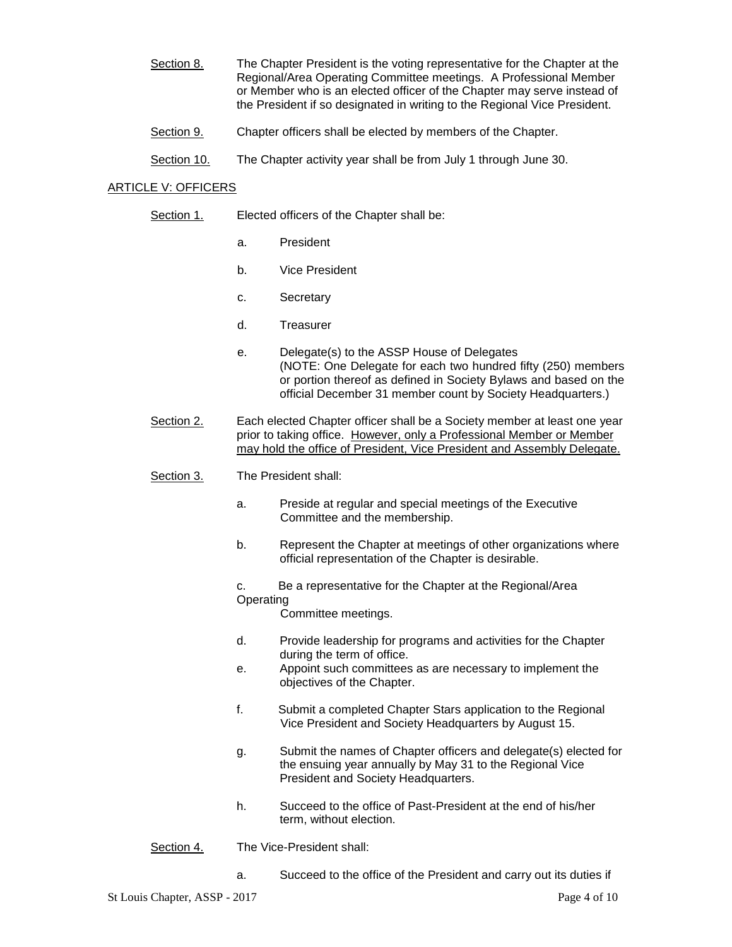- Section 8. The Chapter President is the voting representative for the Chapter at the Regional/Area Operating Committee meetings. A Professional Member or Member who is an elected officer of the Chapter may serve instead of the President if so designated in writing to the Regional Vice President.
- Section 9. Chapter officers shall be elected by members of the Chapter.
- Section 10. The Chapter activity year shall be from July 1 through June 30.

## ARTICLE V: OFFICERS

- Section 1. Elected officers of the Chapter shall be:
	- a. President
	- b. Vice President
	- c. Secretary
	- d. Treasurer
	- e. Delegate(s) to the ASSP House of Delegates (NOTE: One Delegate for each two hundred fifty (250) members or portion thereof as defined in Society Bylaws and based on the official December 31 member count by Society Headquarters.)
- Section 2. Each elected Chapter officer shall be a Society member at least one year prior to taking office. However, only a Professional Member or Member may hold the office of President, Vice President and Assembly Delegate.
- Section 3. The President shall:
	- a. Preside at regular and special meetings of the Executive Committee and the membership.
	- b. Represent the Chapter at meetings of other organizations where official representation of the Chapter is desirable.
	- c. Be a representative for the Chapter at the Regional/Area Operating

Committee meetings.

- d. Provide leadership for programs and activities for the Chapter during the term of office.
- e. Appoint such committees as are necessary to implement the objectives of the Chapter.
- f. Submit a completed Chapter Stars application to the Regional Vice President and Society Headquarters by August 15.
- g. Submit the names of Chapter officers and delegate(s) elected for the ensuing year annually by May 31 to the Regional Vice President and Society Headquarters.
- h. Succeed to the office of Past-President at the end of his/her term, without election.
- Section 4. The Vice-President shall:
	- a. Succeed to the office of the President and carry out its duties if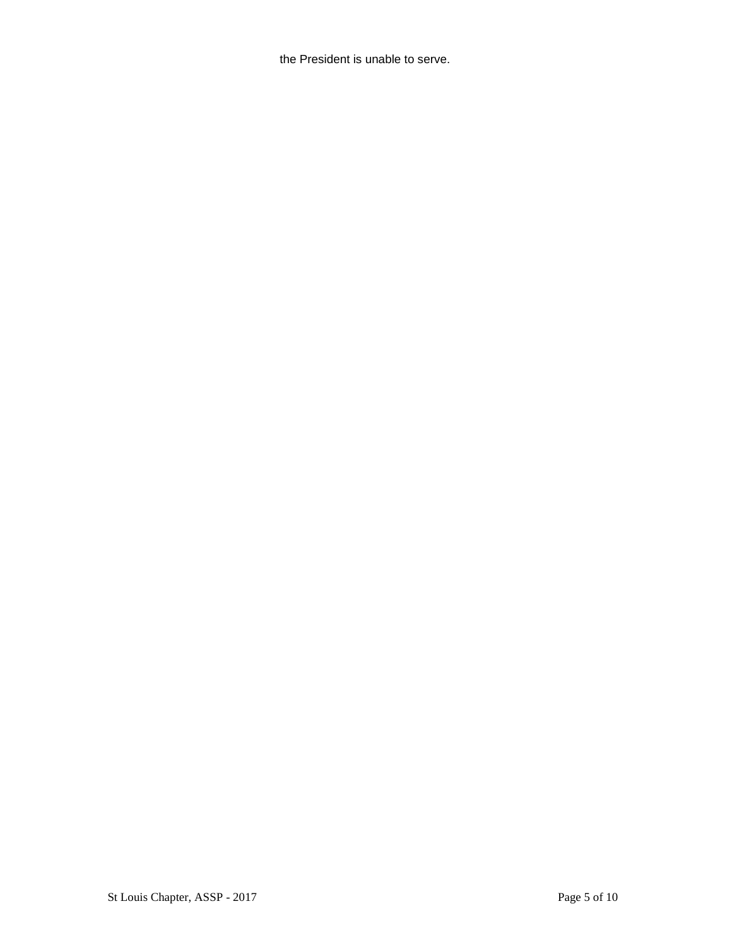the President is unable to serve.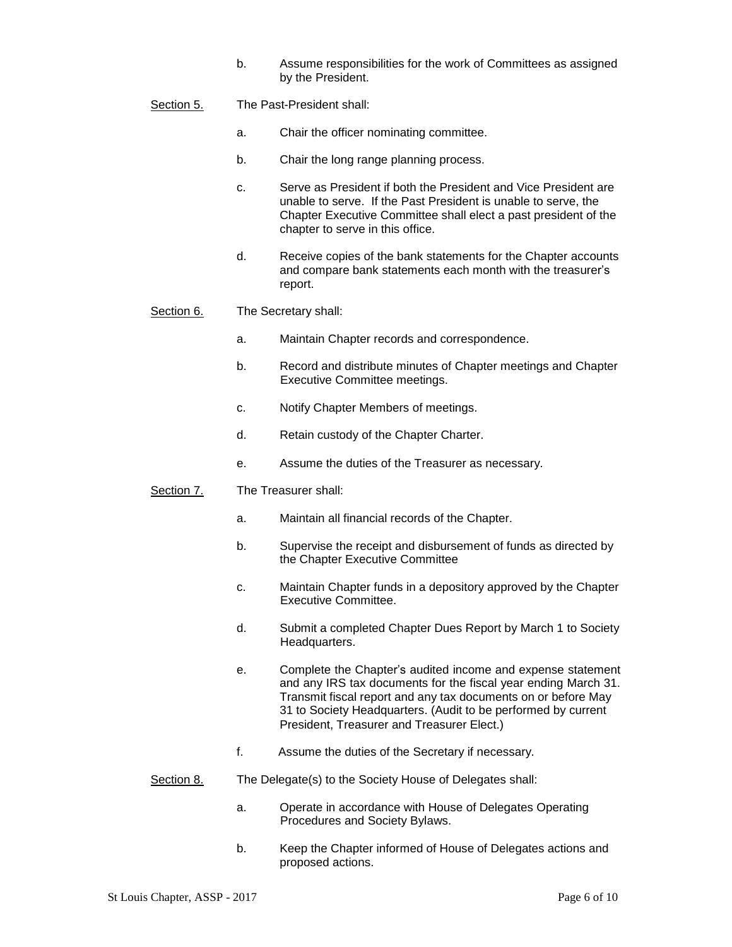- b. Assume responsibilities for the work of Committees as assigned by the President.
- Section 5. The Past-President shall:
	- a. Chair the officer nominating committee.
	- b. Chair the long range planning process.
	- c. Serve as President if both the President and Vice President are unable to serve. If the Past President is unable to serve, the Chapter Executive Committee shall elect a past president of the chapter to serve in this office.
	- d. Receive copies of the bank statements for the Chapter accounts and compare bank statements each month with the treasurer's report.
- Section 6. The Secretary shall:
	- a. Maintain Chapter records and correspondence.
	- b. Record and distribute minutes of Chapter meetings and Chapter Executive Committee meetings.
	- c. Notify Chapter Members of meetings.
	- d. Retain custody of the Chapter Charter.
	- e. Assume the duties of the Treasurer as necessary.
- Section 7. The Treasurer shall:
	- a. Maintain all financial records of the Chapter.
	- b. Supervise the receipt and disbursement of funds as directed by the Chapter Executive Committee
	- c. Maintain Chapter funds in a depository approved by the Chapter Executive Committee.
	- d. Submit a completed Chapter Dues Report by March 1 to Society Headquarters.
	- e. Complete the Chapter's audited income and expense statement and any IRS tax documents for the fiscal year ending March 31. Transmit fiscal report and any tax documents on or before May 31 to Society Headquarters. (Audit to be performed by current President, Treasurer and Treasurer Elect.)
	- f. Assume the duties of the Secretary if necessary.
- Section 8. The Delegate(s) to the Society House of Delegates shall:
	- a. Operate in accordance with House of Delegates Operating Procedures and Society Bylaws.
	- b. Keep the Chapter informed of House of Delegates actions and proposed actions.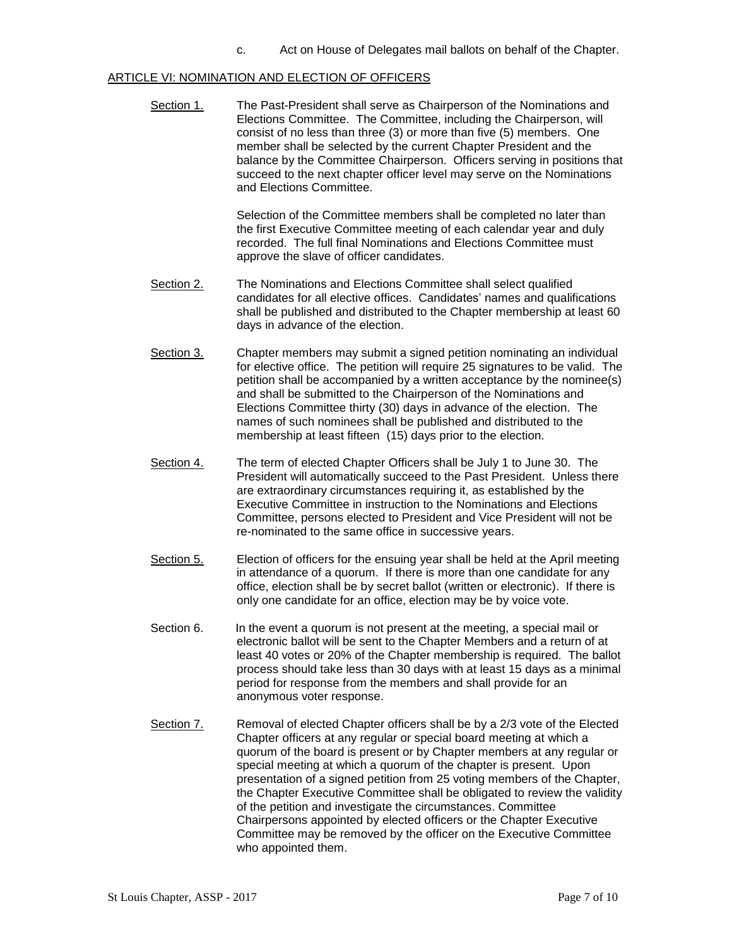c. Act on House of Delegates mail ballots on behalf of the Chapter.

#### ARTICLE VI: NOMINATION AND ELECTION OF OFFICERS

Section 1. The Past-President shall serve as Chairperson of the Nominations and Elections Committee. The Committee, including the Chairperson, will consist of no less than three (3) or more than five (5) members. One member shall be selected by the current Chapter President and the balance by the Committee Chairperson. Officers serving in positions that succeed to the next chapter officer level may serve on the Nominations and Elections Committee.

> Selection of the Committee members shall be completed no later than the first Executive Committee meeting of each calendar year and duly recorded. The full final Nominations and Elections Committee must approve the slave of officer candidates.

- Section 2. The Nominations and Elections Committee shall select qualified candidates for all elective offices. Candidates' names and qualifications shall be published and distributed to the Chapter membership at least 60 days in advance of the election.
- Section 3. Chapter members may submit a signed petition nominating an individual for elective office. The petition will require 25 signatures to be valid. The petition shall be accompanied by a written acceptance by the nominee(s) and shall be submitted to the Chairperson of the Nominations and Elections Committee thirty (30) days in advance of the election. The names of such nominees shall be published and distributed to the membership at least fifteen (15) days prior to the election.
- Section 4. The term of elected Chapter Officers shall be July 1 to June 30. The President will automatically succeed to the Past President. Unless there are extraordinary circumstances requiring it, as established by the Executive Committee in instruction to the Nominations and Elections Committee, persons elected to President and Vice President will not be re-nominated to the same office in successive years.
- Section 5. Election of officers for the ensuing year shall be held at the April meeting in attendance of a quorum. If there is more than one candidate for any office, election shall be by secret ballot (written or electronic). If there is only one candidate for an office, election may be by voice vote.
- Section 6. In the event a quorum is not present at the meeting, a special mail or electronic ballot will be sent to the Chapter Members and a return of at least 40 votes or 20% of the Chapter membership is required. The ballot process should take less than 30 days with at least 15 days as a minimal period for response from the members and shall provide for an anonymous voter response.
- Section 7. Removal of elected Chapter officers shall be by a 2/3 vote of the Elected Chapter officers at any regular or special board meeting at which a quorum of the board is present or by Chapter members at any regular or special meeting at which a quorum of the chapter is present. Upon presentation of a signed petition from 25 voting members of the Chapter, the Chapter Executive Committee shall be obligated to review the validity of the petition and investigate the circumstances. Committee Chairpersons appointed by elected officers or the Chapter Executive Committee may be removed by the officer on the Executive Committee who appointed them.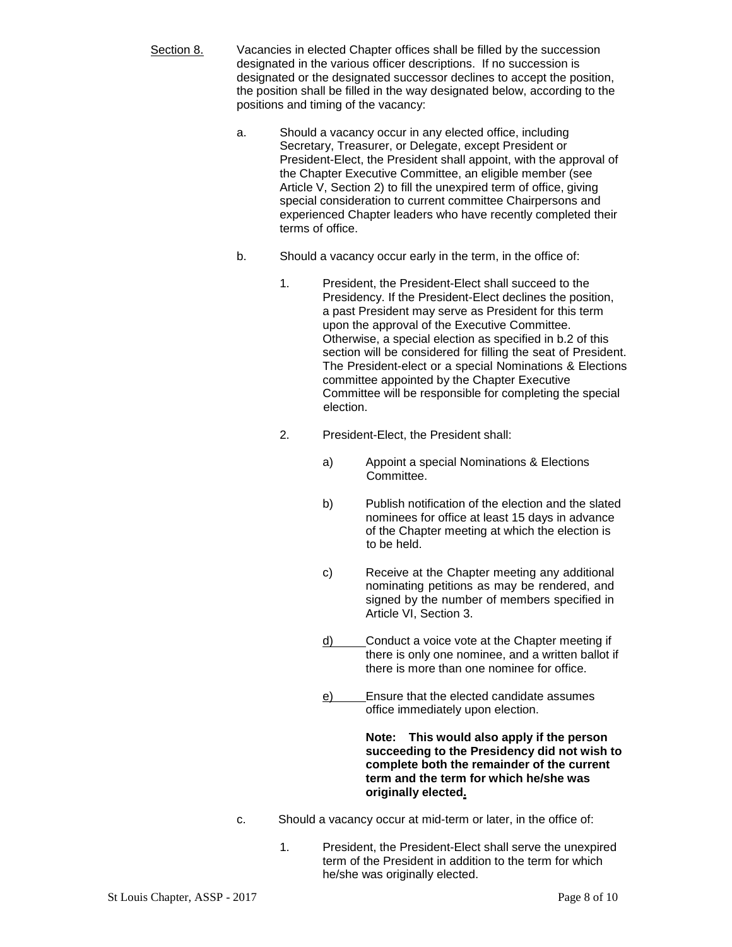- Section 8. Vacancies in elected Chapter offices shall be filled by the succession designated in the various officer descriptions. If no succession is designated or the designated successor declines to accept the position, the position shall be filled in the way designated below, according to the positions and timing of the vacancy:
	- a. Should a vacancy occur in any elected office, including Secretary, Treasurer, or Delegate, except President or President-Elect, the President shall appoint, with the approval of the Chapter Executive Committee, an eligible member (see Article V, Section 2) to fill the unexpired term of office, giving special consideration to current committee Chairpersons and experienced Chapter leaders who have recently completed their terms of office.
	- b. Should a vacancy occur early in the term, in the office of:
		- 1. President, the President-Elect shall succeed to the Presidency. If the President-Elect declines the position, a past President may serve as President for this term upon the approval of the Executive Committee. Otherwise, a special election as specified in b.2 of this section will be considered for filling the seat of President. The President-elect or a special Nominations & Elections committee appointed by the Chapter Executive Committee will be responsible for completing the special election.
		- 2. President-Elect, the President shall:
			- a) Appoint a special Nominations & Elections Committee.
			- b) Publish notification of the election and the slated nominees for office at least 15 days in advance of the Chapter meeting at which the election is to be held.
			- c) Receive at the Chapter meeting any additional nominating petitions as may be rendered, and signed by the number of members specified in Article VI, Section 3.
			- d) Conduct a voice vote at the Chapter meeting if there is only one nominee, and a written ballot if there is more than one nominee for office.
			- e) Ensure that the elected candidate assumes office immediately upon election.

**Note: This would also apply if the person succeeding to the Presidency did not wish to complete both the remainder of the current term and the term for which he/she was originally elected.**

- c. Should a vacancy occur at mid-term or later, in the office of:
	- 1. President, the President-Elect shall serve the unexpired term of the President in addition to the term for which he/she was originally elected.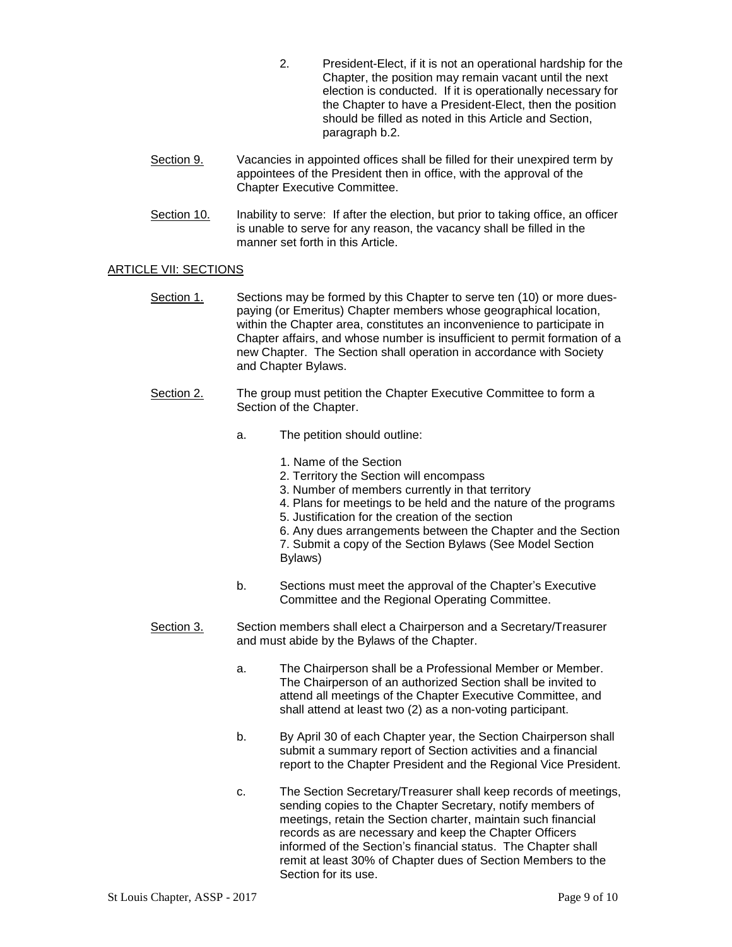- 2. President-Elect, if it is not an operational hardship for the Chapter, the position may remain vacant until the next election is conducted. If it is operationally necessary for the Chapter to have a President-Elect, then the position should be filled as noted in this Article and Section, paragraph b.2.
- Section 9. Vacancies in appointed offices shall be filled for their unexpired term by appointees of the President then in office, with the approval of the Chapter Executive Committee.
- Section 10. Inability to serve: If after the election, but prior to taking office, an officer is unable to serve for any reason, the vacancy shall be filled in the manner set forth in this Article.

### ARTICLE VII: SECTIONS

- Section 1. Sections may be formed by this Chapter to serve ten (10) or more duespaying (or Emeritus) Chapter members whose geographical location, within the Chapter area, constitutes an inconvenience to participate in Chapter affairs, and whose number is insufficient to permit formation of a new Chapter. The Section shall operation in accordance with Society and Chapter Bylaws.
- Section 2. The group must petition the Chapter Executive Committee to form a Section of the Chapter.
	- a. The petition should outline:
		- 1. Name of the Section
		- 2. Territory the Section will encompass
		- 3. Number of members currently in that territory
		- 4. Plans for meetings to be held and the nature of the programs
		- 5. Justification for the creation of the section
		- 6. Any dues arrangements between the Chapter and the Section 7. Submit a copy of the Section Bylaws (See Model Section Bylaws)
	- b. Sections must meet the approval of the Chapter's Executive Committee and the Regional Operating Committee.
- Section 3. Section members shall elect a Chairperson and a Secretary/Treasurer and must abide by the Bylaws of the Chapter.
	- a. The Chairperson shall be a Professional Member or Member. The Chairperson of an authorized Section shall be invited to attend all meetings of the Chapter Executive Committee, and shall attend at least two (2) as a non-voting participant.
	- b. By April 30 of each Chapter year, the Section Chairperson shall submit a summary report of Section activities and a financial report to the Chapter President and the Regional Vice President.
	- c. The Section Secretary/Treasurer shall keep records of meetings, sending copies to the Chapter Secretary, notify members of meetings, retain the Section charter, maintain such financial records as are necessary and keep the Chapter Officers informed of the Section's financial status. The Chapter shall remit at least 30% of Chapter dues of Section Members to the Section for its use.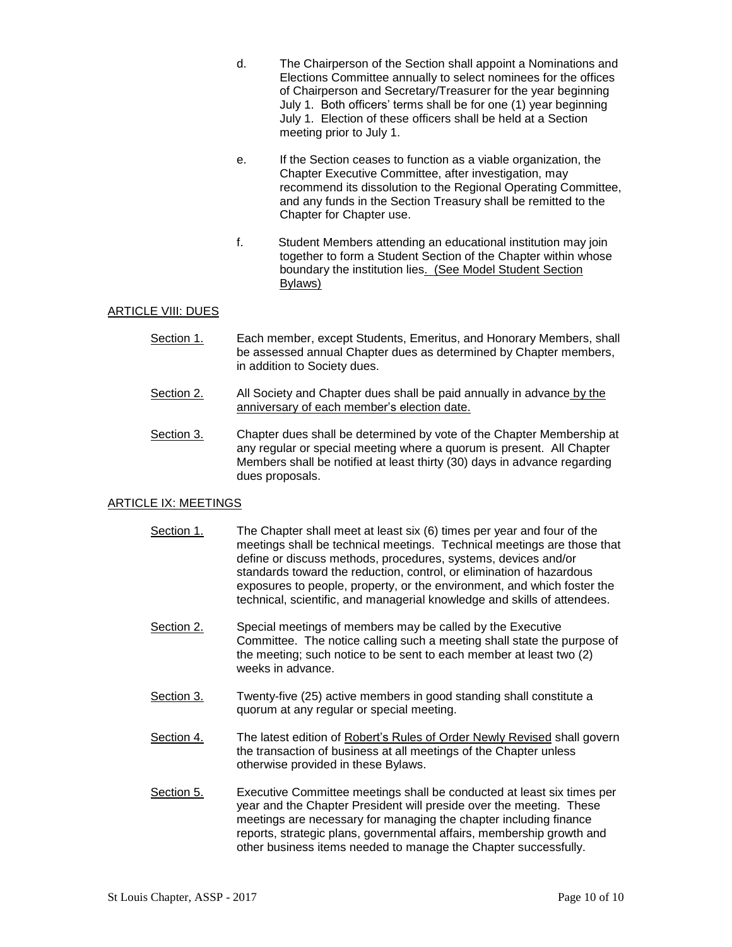- d. The Chairperson of the Section shall appoint a Nominations and Elections Committee annually to select nominees for the offices of Chairperson and Secretary/Treasurer for the year beginning July 1. Both officers' terms shall be for one (1) year beginning July 1. Election of these officers shall be held at a Section meeting prior to July 1.
- e. If the Section ceases to function as a viable organization, the Chapter Executive Committee, after investigation, may recommend its dissolution to the Regional Operating Committee, and any funds in the Section Treasury shall be remitted to the Chapter for Chapter use.
- f. Student Members attending an educational institution may join together to form a Student Section of the Chapter within whose boundary the institution lies. (See Model Student Section Bylaws)

### ARTICLE VIII: DUES

- Section 1. Each member, except Students, Emeritus, and Honorary Members, shall be assessed annual Chapter dues as determined by Chapter members, in addition to Society dues.
- Section  $2.$  All Society and Chapter dues shall be paid annually in advance by the anniversary of each member's election date.
- Section 3. Chapter dues shall be determined by vote of the Chapter Membership at any regular or special meeting where a quorum is present. All Chapter Members shall be notified at least thirty (30) days in advance regarding dues proposals.

## ARTICLE IX: MEETINGS

- Section 1. The Chapter shall meet at least six (6) times per year and four of the meetings shall be technical meetings. Technical meetings are those that define or discuss methods, procedures, systems, devices and/or standards toward the reduction, control, or elimination of hazardous exposures to people, property, or the environment, and which foster the technical, scientific, and managerial knowledge and skills of attendees.
- Section 2. Special meetings of members may be called by the Executive Committee. The notice calling such a meeting shall state the purpose of the meeting; such notice to be sent to each member at least two (2) weeks in advance.
- Section 3. Twenty-five (25) active members in good standing shall constitute a quorum at any regular or special meeting.
- Section 4. The latest edition of Robert's Rules of Order Newly Revised shall govern the transaction of business at all meetings of the Chapter unless otherwise provided in these Bylaws.
- Section 5. Executive Committee meetings shall be conducted at least six times per year and the Chapter President will preside over the meeting. These meetings are necessary for managing the chapter including finance reports, strategic plans, governmental affairs, membership growth and other business items needed to manage the Chapter successfully.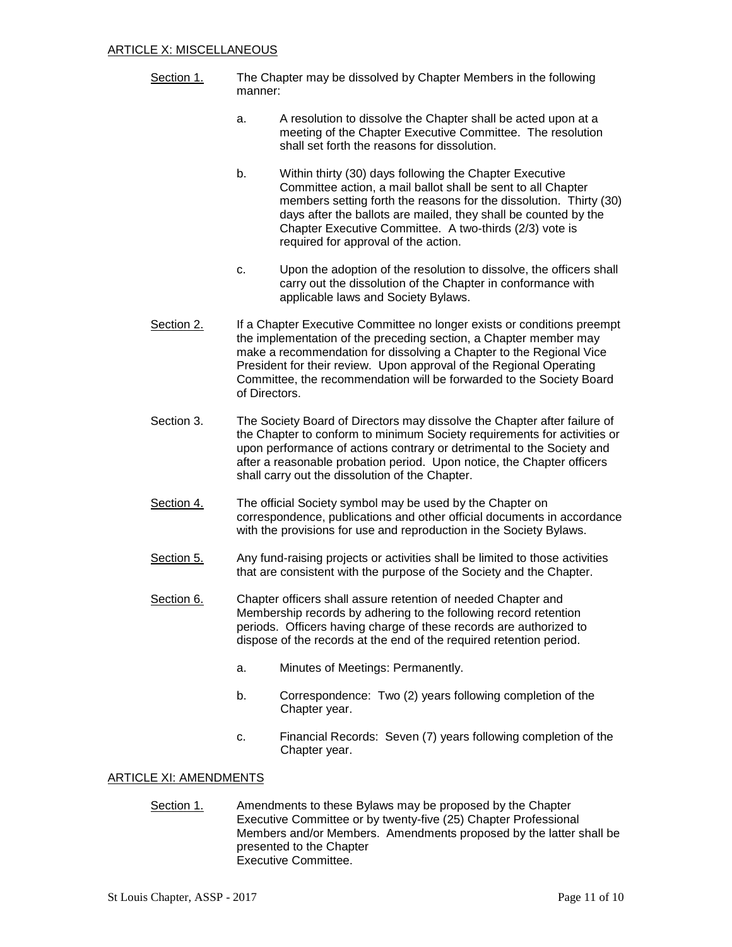- Section 1. The Chapter may be dissolved by Chapter Members in the following manner:
	- a. A resolution to dissolve the Chapter shall be acted upon at a meeting of the Chapter Executive Committee. The resolution shall set forth the reasons for dissolution.
	- b. Within thirty (30) days following the Chapter Executive Committee action, a mail ballot shall be sent to all Chapter members setting forth the reasons for the dissolution. Thirty (30) days after the ballots are mailed, they shall be counted by the Chapter Executive Committee. A two-thirds (2/3) vote is required for approval of the action.
	- c. Upon the adoption of the resolution to dissolve, the officers shall carry out the dissolution of the Chapter in conformance with applicable laws and Society Bylaws.
- Section 2. If a Chapter Executive Committee no longer exists or conditions preempt the implementation of the preceding section, a Chapter member may make a recommendation for dissolving a Chapter to the Regional Vice President for their review. Upon approval of the Regional Operating Committee, the recommendation will be forwarded to the Society Board of Directors.
- Section 3. The Society Board of Directors may dissolve the Chapter after failure of the Chapter to conform to minimum Society requirements for activities or upon performance of actions contrary or detrimental to the Society and after a reasonable probation period. Upon notice, the Chapter officers shall carry out the dissolution of the Chapter.
- Section 4. The official Society symbol may be used by the Chapter on correspondence, publications and other official documents in accordance with the provisions for use and reproduction in the Society Bylaws.
- Section 5. Any fund-raising projects or activities shall be limited to those activities that are consistent with the purpose of the Society and the Chapter.
- Section 6. Chapter officers shall assure retention of needed Chapter and Membership records by adhering to the following record retention periods. Officers having charge of these records are authorized to dispose of the records at the end of the required retention period.
	- a. Minutes of Meetings: Permanently.
	- b. Correspondence: Two (2) years following completion of the Chapter year.
	- c. Financial Records: Seven (7) years following completion of the Chapter year.

## ARTICLE XI: AMENDMENTS

Section 1. Amendments to these Bylaws may be proposed by the Chapter Executive Committee or by twenty-five (25) Chapter Professional Members and/or Members. Amendments proposed by the latter shall be presented to the Chapter Executive Committee.